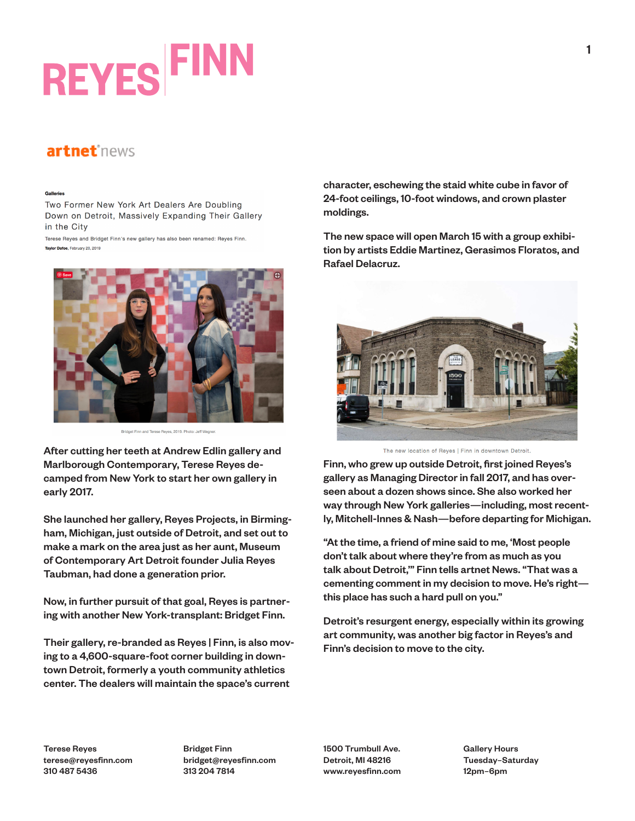## **REYES FINI**

## artnet<sup>\*news</sup>

## Galleries

Two Former New York Art Dealers Are Doubling Down on Detroit, Massively Expanding Their Gallery in the City

Terese Reyes and Bridget Finn's new gallery has also been renamed: Reyes Finn. Taylor Dafoe, February 20, 2019



Bridget Finn and Terese Beves, 2019, Photo: Jeff Wegne

After cutting her teeth at Andrew Edlin gallery and Marlborough Contemporary, Terese Reyes decamped from New York to start her own gallery in early 2017.

She launched her gallery, Reyes Projects, in Birmingham, Michigan, just outside of Detroit, and set out to make a mark on the area just as her aunt, Museum of Contemporary Art Detroit founder Julia Reyes Taubman, had done a generation prior.

Now, in further pursuit of that goal, Reyes is partnering with another New York-transplant: Bridget Finn.

Their gallery, re-branded as Reyes | Finn, is also moving to a 4,600-square-foot corner building in downtown Detroit, formerly a youth community athletics center. The dealers will maintain the space's current

character, eschewing the staid white cube in favor of 24-foot ceilings, 10-foot windows, and crown plaster moldings.

The new space will open March 15 with a group exhibition by artists Eddie Martinez, Gerasimos Floratos, and Rafael Delacruz.



The new location of Reyes | Finn in downtown Detroit.

Finn, who grew up outside Detroit, first joined Reyes's gallery as Managing Director in fall 2017, and has overseen about a dozen shows since. She also worked her way through New York galleries—including, most recently, Mitchell-Innes & Nash—before departing for Michigan.

"At the time, a friend of mine said to me, 'Most people don't talk about where they're from as much as you talk about Detroit,'" Finn tells artnet News. "That was a cementing comment in my decision to move. He's right this place has such a hard pull on you."

Detroit's resurgent energy, especially within its growing art community, was another big factor in Reyes's and Finn's decision to move to the city.

Terese Reyes terese@reyesfinn.com 310 487 5436

Bridget Finn bridget@reyesfinn.com 313 204 7814

1500 Trumbull Ave. Detroit, MI 48216 www.reyesfinn.com Gallery Hours Tuesday–Saturday 12pm–6pm